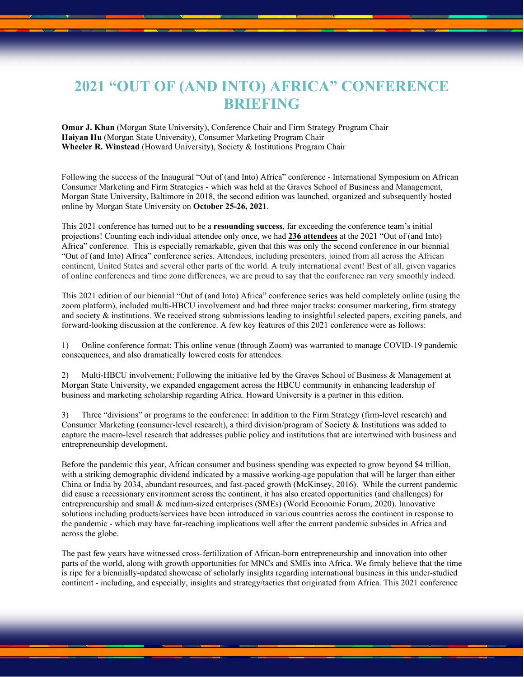## **2021 "OUT OF (AND INTO) AFRICA" CONFERENCE BRIEFING**

**Omar J. Khan** (Morgan State University), Conference Chair and Firm Strategy Program Chair **Haiyan Hu** (Morgan State University), Consumer Marketing Program Chair **Wheeler R. Winstead** (Howard University), Society & Institutions Program Chair

Following the success of the Inaugural "Out of (and Into) Africa" conference - International Symposium on African Consumer Marketing and Firm Strategies - which was held at the Graves School of Business and Management, Morgan State University, Baltimore in 2018, the second edition was launched, organized and subsequently hosted online by Morgan State University on **October 25-26, 2021**.

This 2021 conference has turned out to be a **resounding success**, far exceeding the conference team's initial projections! Counting each individual attendee only once, we had **236 attendees** at the 2021 "Out of (and Into) Africa" conference. This is especially remarkable, given that this was only the second conference in our biennial "Out of (and Into) Africa" conference series. Attendees, including presenters, joined from all across the African continent, United States and several other parts of the world. A truly international event! Best of all, given vagaries of online conferences and time zone differences, we are proud to say that the conference ran very smoothly indeed.

This 2021 edition of our biennial "Out of (and Into) Africa" conference series was held completely online (using the zoom platform), included multi-HBCU involvement and had three major tracks: consumer marketing, firm strategy and society  $\&$  institutions. We received strong submissions leading to insightful selected papers, exciting panels, and forward-looking discussion at the conference. A few key features of this 2021 conference were as follows:

1) Online conference format: This online venue (through Zoom) was warranted to manage COVID-19 pandemic consequences, and also dramatically lowered costs for attendees.

2) Multi-HBCU involvement: Following the initiative led by the Graves School of Business & Management at Morgan State University, we expanded engagement across the HBCU community in enhancing leadership of business and marketing scholarship regarding Africa. Howard University is a partner in this edition.

3) Three "divisions" or programs to the conference: In addition to the Firm Strategy (firm-level research) and Consumer Marketing (consumer-level research), a third division/program of Society & Institutions was added to capture the macro-level research that addresses public policy and institutions that are intertwined with business and entrepreneurship development.

Before the pandemic this year, African consumer and business spending was expected to grow beyond \$4 trillion, with a striking demographic dividend indicated by a massive working-age population that will be larger than either China or India by 2034, abundant resources, and fast-paced growth (McKinsey, 2016). While the current pandemic did cause a recessionary environment across the continent, it has also created opportunities (and challenges) for entrepreneurship and small & medium-sized enterprises (SMEs) (World Economic Forum, 2020). Innovative solutions including products/services have been introduced in various countries across the continent in response to the pandemic - which may have far-reaching implications well after the current pandemic subsides in Africa and across the globe.

The past few years have witnessed cross-fertilization of African-born entrepreneurship and innovation into other parts of the world, along with growth opportunities for MNCs and SMEs into Africa. We firmly believe that the time is ripe for a biennially-updated showcase of scholarly insights regarding international business in this under-studied continent - including, and especially, insights and strategy/tactics that originated from Africa. This 2021 conference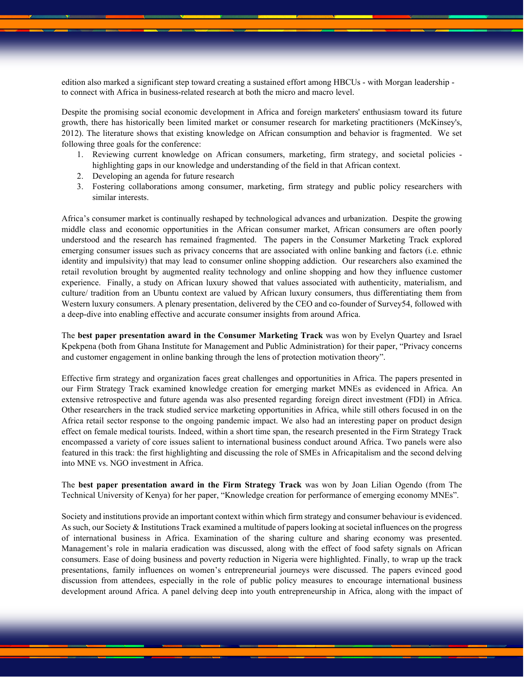edition also marked a significant step toward creating a sustained effort among HBCUs - with Morgan leadership to connect with Africa in business-related research at both the micro and macro level.

Despite the promising social economic development in Africa and foreign marketers' enthusiasm toward its future growth, there has historically been limited market or consumer research for marketing practitioners (McKinsey's, 2012). The literature shows that existing knowledge on African consumption and behavior is fragmented. We set following three goals for the conference:

- 1. Reviewing current knowledge on African consumers, marketing, firm strategy, and societal policies highlighting gaps in our knowledge and understanding of the field in that African context.
- 2. Developing an agenda for future research
- 3. Fostering collaborations among consumer, marketing, firm strategy and public policy researchers with similar interests.

Africa's consumer market is continually reshaped by technological advances and urbanization. Despite the growing middle class and economic opportunities in the African consumer market, African consumers are often poorly understood and the research has remained fragmented. The papers in the Consumer Marketing Track explored emerging consumer issues such as privacy concerns that are associated with online banking and factors (i.e. ethnic identity and impulsivity) that may lead to consumer online shopping addiction. Our researchers also examined the retail revolution brought by augmented reality technology and online shopping and how they influence customer experience. Finally, a study on African luxury showed that values associated with authenticity, materialism, and culture/ tradition from an Ubuntu context are valued by African luxury consumers, thus differentiating them from Western luxury consumers. A plenary presentation, delivered by the CEO and co-founder of Survey54, followed with a deep-dive into enabling effective and accurate consumer insights from around Africa.

The **best paper presentation award in the Consumer Marketing Track** was won by Evelyn Quartey and Israel Kpekpena (both from Ghana Institute for Management and Public Administration) for their paper, "Privacy concerns and customer engagement in online banking through the lens of protection motivation theory".

Effective firm strategy and organization faces great challenges and opportunities in Africa. The papers presented in our Firm Strategy Track examined knowledge creation for emerging market MNEs as evidenced in Africa. An extensive retrospective and future agenda was also presented regarding foreign direct investment (FDI) in Africa. Other researchers in the track studied service marketing opportunities in Africa, while still others focused in on the Africa retail sector response to the ongoing pandemic impact. We also had an interesting paper on product design effect on female medical tourists. Indeed, within a short time span, the research presented in the Firm Strategy Track encompassed a variety of core issues salient to international business conduct around Africa. Two panels were also featured in this track: the first highlighting and discussing the role of SMEs in Africapitalism and the second delving into MNE vs. NGO investment in Africa.

The **best paper presentation award in the Firm Strategy Track** was won by Joan Lilian Ogendo (from The Technical University of Kenya) for her paper, "Knowledge creation for performance of emerging economy MNEs".

Society and institutions provide an important context within which firm strategy and consumer behaviour is evidenced. As such, our Society & Institutions Track examined a multitude of papers looking at societal influences on the progress of international business in Africa. Examination of the sharing culture and sharing economy was presented. Management's role in malaria eradication was discussed, along with the effect of food safety signals on African consumers. Ease of doing business and poverty reduction in Nigeria were highlighted. Finally, to wrap up the track presentations, family influences on women's entrepreneurial journeys were discussed. The papers evinced good discussion from attendees, especially in the role of public policy measures to encourage international business development around Africa. A panel delving deep into youth entrepreneurship in Africa, along with the impact of